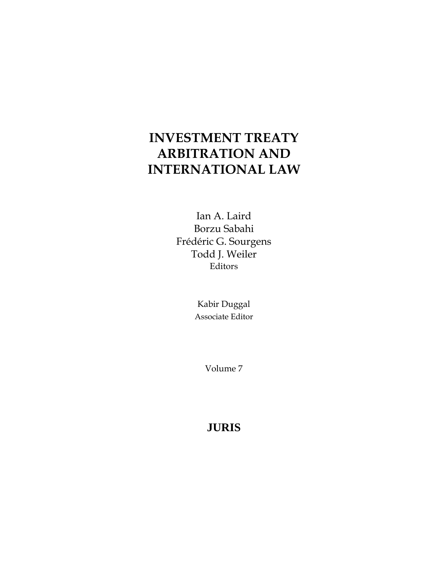# **INVESTMENT TREATY ARBITRATION AND INTERNATIONAL LAW**

Ian A. Laird Borzu Sabahi Frédéric G. Sourgens Todd J. Weiler Editors

> Kabir Duggal Associate Editor

> > Volume 7

## **JURIS**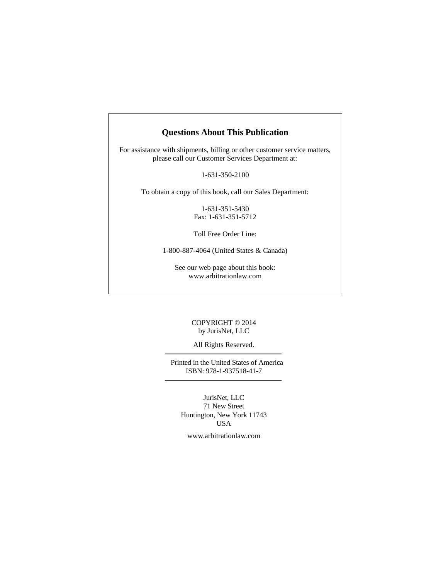## **Questions About This Publication**

For assistance with shipments, billing or other customer service matters, please call our Customer Services Department at:

1-631-350-2100

To obtain a copy of this book, call our Sales Department:

1-631-351-5430 Fax: 1-631-351-5712

Toll Free Order Line:

1-800-887-4064 (United States & Canada)

See our web page about this book: www.arbitrationlaw.com

## COPYRIGHT © 2014 by JurisNet, LLC

#### All Rights Reserved.

Printed in the United States of America ISBN: 978-1-937518-41-7

JurisNet, LLC 71 New Street Huntington, New York 11743 USA

www.arbitrationlaw.com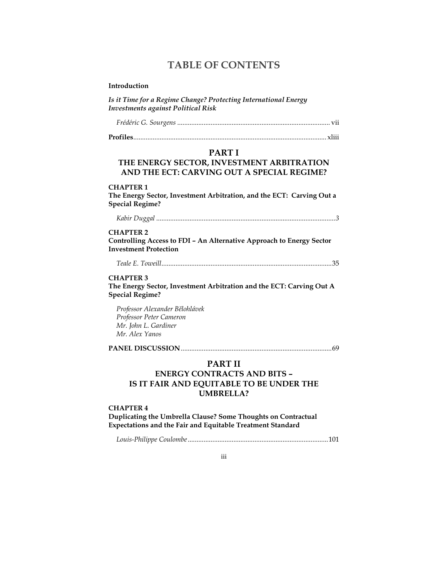## **TABLE OF CONTENTS**

#### Introduction

Is it Time for a Regime Change? Protecting International Energy **Investments against Political Risk** 

## **PART I**

## THE ENERGY SECTOR, INVESTMENT ARBITRATION AND THE ECT: CARVING OUT A SPECIAL REGIME?

#### **CHAPTER 1**

The Energy Sector, Investment Arbitration, and the ECT: Carving Out a **Special Regime?** 

#### **CHAPTER 2**

Controlling Access to FDI - An Alternative Approach to Energy Sector **Investment Protection** 

## **CHAPTER 3**

The Energy Sector, Investment Arbitration and the ECT: Carving Out A **Special Regime?** 

Professor Alexander Bělohlávek Professor Peter Cameron Mr. John L. Gardiner Mr. Alex Yanos

## **PART II**

## **ENERGY CONTRACTS AND BITS -**IS IT FAIR AND EQUITABLE TO BE UNDER THE **UMBRELLA?**

#### **CHAPTER 4**

Duplicating the Umbrella Clause? Some Thoughts on Contractual Expectations and the Fair and Equitable Treatment Standard

iii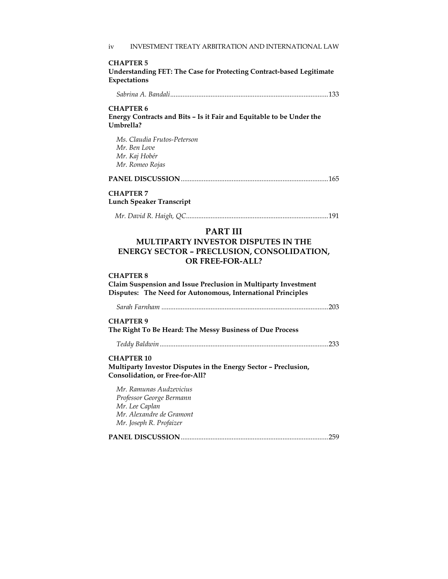#### **CHAPTER 5**

| Understanding FET: The Case for Protecting Contract-based Legitimate |  |
|----------------------------------------------------------------------|--|
| Expectations                                                         |  |

| <b>CHAPTER 6</b><br>Umbrella? | Energy Contracts and Bits – Is it Fair and Equitable to be Under the |
|-------------------------------|----------------------------------------------------------------------|

*Ms. Claudia Frutos-Peterson Mr. Ben Love Mr. Kaj Hobér Mr. Romeo Rojas*

## **CHAPTER 7 Lunch Speaker Transcript**

|--|--|--|

## **PART III**

## **MULTIPARTY INVESTOR DISPUTES IN THE ENERGY SECTOR – PRECLUSION, CONSOLIDATION, OR FREE-FOR-ALL?**

#### **CHAPTER 8**

**Claim Suspension and Issue Preclusion in Multiparty Investment Disputes: The Need for Autonomous, International Principles** 

*Sarah Farnham* ............................................................................................... 203

#### **CHAPTER 9**

**The Right To Be Heard: The Messy Business of Due Process** 

#### **CHAPTER 10**

**Multiparty Investor Disputes in the Energy Sector – Preclusion, Consolidation, or Free-for-All?** 

*Mr. Ramunas Audzevicius Professor George Bermann Mr. Lee Caplan Mr. Alexandre de Gramont Mr. Joseph R. Profaizer* 

**PANEL DISCUSSION** .................................................................................... 259